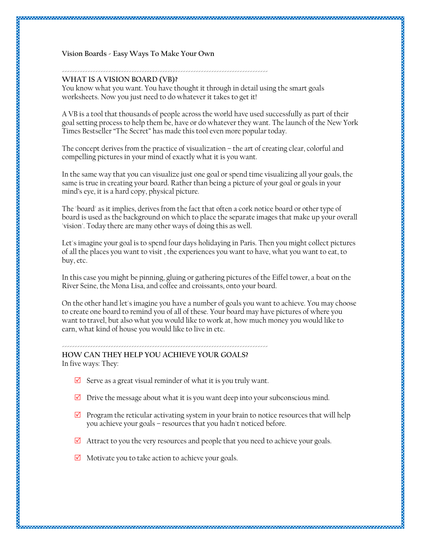## **Vision Boards - Easy Ways To Make Your Own**

#### -------------------------------------------------------------------------------- **WHAT IS A VISION BOARD (VB)?**

You know what you want. You have thought it through in detail using the smart goals worksheets. Now you just need to do whatever it takes to get it!

A VB is a tool that thousands of people across the world have used successfully as part of their goal setting process to help them be, have or do whatever they want. The launch of the New York Times Bestseller "The Secret" has made this tool even more popular today.

The concept derives from the practice of visualization – the art of creating clear, colorful and compelling pictures in your mind of exactly what it is you want.

In the same way that you can visualize just one goal or spend time visualizing all your goals, the same is true in creating your board. Rather than being a picture of your goal or goals in your mind's eye, it is a hard copy, physical picture.

The 'board' as it implies, derives from the fact that often a cork notice board or other type of board is used as the background on which to place the separate images that make up your overall 'vision'. Today there are many other ways of doing this as well.

Let's imagine your goal is to spend four days holidaying in Paris. Then you might collect pictures of all the places you want to visit , the experiences you want to have, what you want to eat, to buy, etc.

In this case you might be pinning, gluing or gathering pictures of the Eiffel tower, a boat on the River Seine, the Mona Lisa, and coffee and croissants, onto your board.

On the other hand let's imagine you have a number of goals you want to achieve. You may choose to create one board to remind you of all of these. Your board may have pictures of where you want to travel, but also what you would like to work at, how much money you would like to earn, what kind of house you would like to live in etc.

## -------------------------------------------------------------------------------- **HOW CAN THEY HELP YOU ACHIEVE YOUR GOALS?** In five ways: They:

- $\boxtimes$  Serve as a great visual reminder of what it is you truly want.
- $\boxtimes$  Drive the message about what it is you want deep into your subconscious mind.
- $\boxtimes$  Program the reticular activating system in your brain to notice resources that will help you achieve your goals – resources that you hadn't noticed before.
- $\boxtimes$  Attract to you the very resources and people that you need to achieve your goals.
- $\boxtimes$  Motivate you to take action to achieve your goals.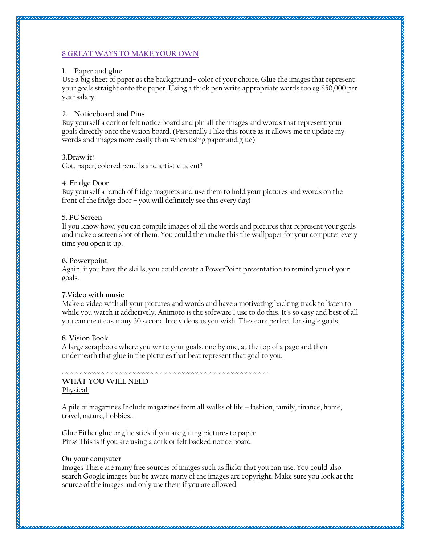## **8 GREAT WAYS TO MAKE YOUR OWN**

# **1. Paper and glue**

Use a big sheet of paper as the background– color of your choice. Glue the images that represent your goals straight onto the paper. Using a thick pen write appropriate words too eg \$50,000 per year salary.

# **2. Noticeboard and Pins**

Buy yourself a cork or felt notice board and pin all the images and words that represent your goals directly onto the vision board. (Personally I like this route as it allows me to update my words and images more easily than when using paper and glue)!

# **3.Draw it!**

Got, paper, colored pencils and artistic talent?

# **4. Fridge Door**

Buy yourself a bunch of fridge magnets and use them to hold your pictures and words on the front of the fridge door – you will definitely see this every day!

# **5. PC Screen**

If you know how, you can compile images of all the words and pictures that represent your goals and make a screen shot of them. You could then make this the wallpaper for your computer every time you open it up.

## **6. Powerpoint**

Again, if you have the skills, you could create a PowerPoint presentation to remind you of your goals.

## **7.Video with music**

Make a video with all your pictures and words and have a motivating backing track to listen to while you watch it addictively. Animoto is the software I use to do this. It's so easy and best of all you can create as many 30 second free videos as you wish. These are perfect for single goals.

## **8. Vision Book**

A large scrapbook where you write your goals, one by one, at the top of a page and then underneath that glue in the pictures that best represent that goal to you.

--------------------------------------------------------------------------------

# **WHAT YOU WILL NEED** Physical:

A pile of magazines Include magazines from all walks of life – fashion, family, finance, home, travel, nature, hobbies...

Glue Either glue or glue stick if you are gluing pictures to paper. Pins< This is if you are using a cork or felt backed notice board.

## **On your computer**

Images There are many free sources of images such as flickr that you can use. You could also search Google images but be aware many of the images are copyright. Make sure you look at the source of the images and only use them if you are allowed.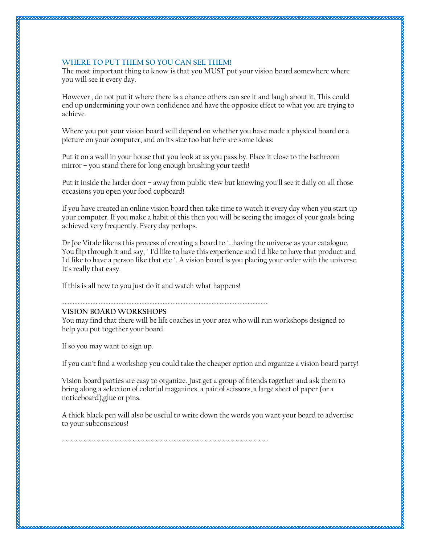## **WHERE TO PUT THEM SO YOU CAN SEE THEM!**

The most important thing to know is that you MUST put your vision board somewhere where you will see it every day.

However , do not put it where there is a chance others can see it and laugh about it. This could end up undermining your own confidence and have the opposite effect to what you are trying to achieve.

Where you put your vision board will depend on whether you have made a physical board or a picture on your computer, and on its size too but here are some ideas:

Put it on a wall in your house that you look at as you pass by. Place it close to the bathroom mirror – you stand there for long enough brushing your teeth!

Put it inside the larder door – away from public view but knowing you'll see it daily on all those occasions you open your food cupboard!

If you have created an online vision board then take time to watch it every day when you start up your computer. If you make a habit of this then you will be seeing the images of your goals being achieved very frequently. Every day perhaps.

Dr Joe Vitale likens this process of creating a board to '…having the universe as your catalogue. You flip through it and say, " I'd like to have this experience and I'd like to have that product and I'd like to have a person like that etc ". A vision board is you placing your order with the universe. It's really that easy.

If this is all new to you just do it and watch what happens!

#### -------------------------------------------------------------------------------- **VISION BOARD WORKSHOPS**

You may find that there will be life coaches in your area who will run workshops designed to help you put together your board.

If so you may want to sign up.

If you can't find a workshop you could take the cheaper option and organize a vision board party!

Vision board parties are easy to organize. Just get a group of friends together and ask them to bring along a selection of colorful magazines, a pair of scissors, a large sheet of paper (or a noticeboard),glue or pins.

A thick black pen will also be useful to write down the words you want your board to advertise to your subconscious!

--------------------------------------------------------------------------------